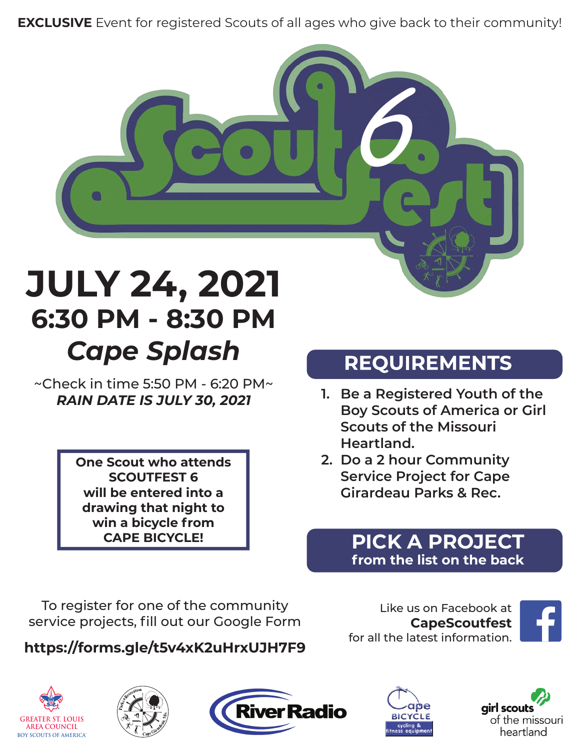**EXCLUSIVE** Event for registered Scouts of all ages who give back to their community!



# **JULY 24, 2021 6:30 PM - 8:30 PM** *Cape Splash*

~Check in time 5:50 PM - 6:20 PM~ *RAIN DATE IS JULY 30, 2021*

> **One Scout who attends SCOUTFEST 6 will be entered into a drawing that night to win a bicycle from CAPE BICYCLE!**

## **REQUIREMENTS**

- **1. Be a Registered Youth of the Boy Scouts of America or Girl Scouts of the Missouri Heartland.**
- **2. Do a 2 hour Community Service Project for Cape Girardeau Parks & Rec.**

#### **PICK A PROJECT from the list on the back**

To register for one of the community service projects, fill out our Google Form

#### **https://forms.gle/t5v4xK2uHrxUJH7F9**

Like us on Facebook at **CapeScoutfest** for all the latest information.